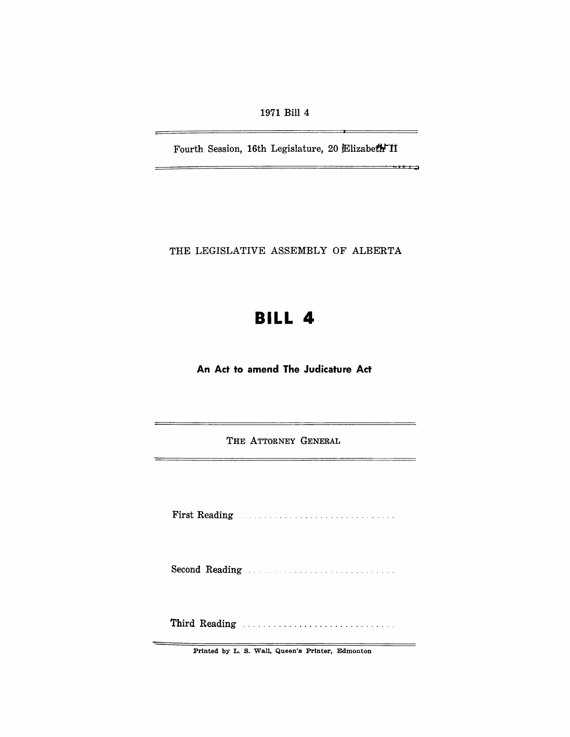1971 Bill 4

Fourth Session, 16th Legislature, 20 Elizabeth II

 $-1$ 

 $\sim$ 

THE LEGISLATIVE ASSEMBLY OF ALBERTA

# **BILL 4**

**An Act to amend The Judicature Act** 

THE ATTORNEY GENERAL

First Reading

Second Reading **Election Communication** 

Third Reading ............................. .

Printed by L. S. Wall, Queen's Printer, Edmonton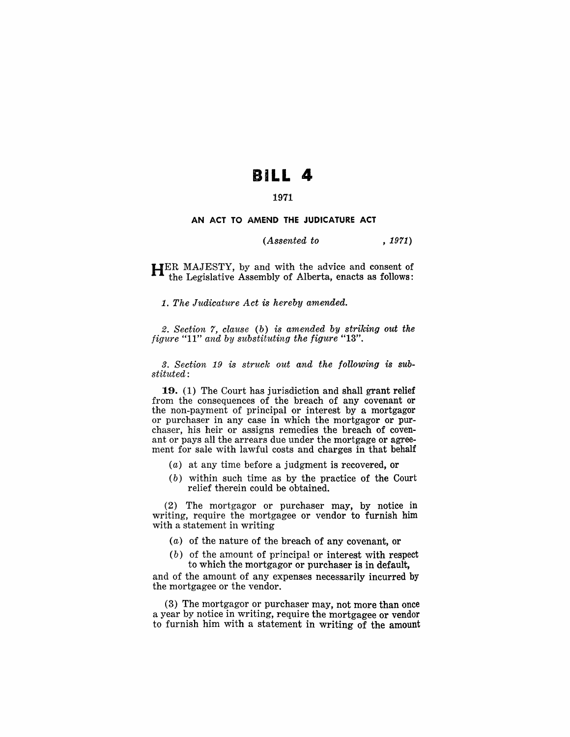# **BILL 4**

## 1971

### AN ACT TO AMEND THE JUDICATURE ACT

### *(Assented to* , 1971)

HER MAJESTY, by and with the advice and consent of the Legislative Assembly of Alberta, enacts as follows:

*1. The Judicature Act* is *hereby amended.* 

*2. Section* 7, *clause (b) is amended by striking out the figure* "II" *and by substituting the figure "13".* 

*3. Section* 19 is *struck out and the following is substituted:* 

19. (1) The Court has jurisdiction and shall grant relief from the consequences of the breach of any covenant or the non-payment of principal or interest by a mortgagor or purchaser in any case in which the mortgagor or purchaser, his heir or assigns remedies the breach of covenant or pays all the arrears due under the mortgage or agreement for sale with lawful costs and charges in that behalf

- (a) at any time before a judgment is recovered, or
- (b) within such time as by the practice of the Court relief therein could be obtained.

(2) The mortgagor or purchaser may, by notice in writing, require the mortgagee or vendor to furnish him with a statement in writing

- (a) of the nature of the breach of any covenant, or
- (b) of the amount of principal or interest with respect to which the mortgagor or purchaser is in default,

and of the amount of any expenses necessarily incurred by the mortgagee or the vendor.

(3) The mortgagor or purchaser may, not more than once a year by notice in writing, require the mortgagee or vendor to furnish him with a statement in writing of the amount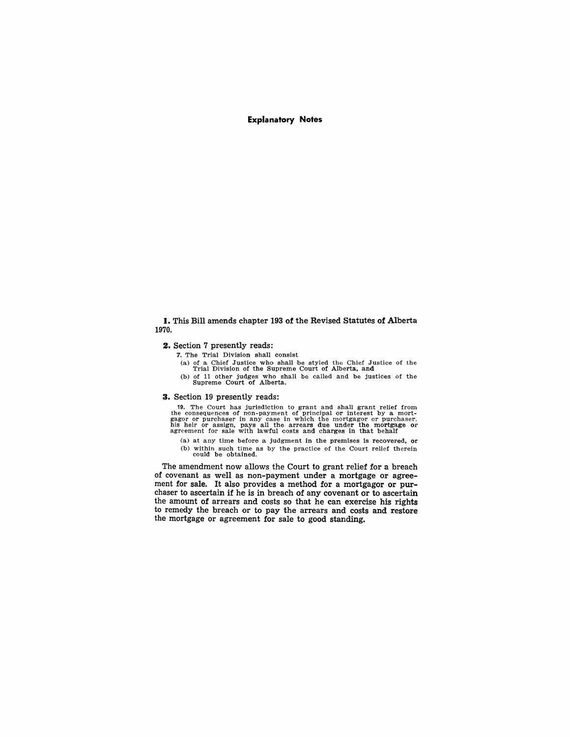Explanatory Notes

#### I. This Bill amends chapter 193 of the Revised Statutes of Alberta 1970.

#### 2. Section 7 presently reads:

- 7. The Trial Division shall consist
	- (a) of a Chief Justice who shall be styled the Chief Justice of the Trial Division of the Supreme Court of Alberta, and
	- (b) of 11 other judges who shall be called and be justices of the Supreme Court of Alberta.

#### 3. Section 19 presently reads:

19. The Court has jurisdiction to grant and shall grant relief from the consequences of non-payment of purchaser and gagor or purchaser, gagor or purchaser, his heir or assign, pays all the arrears due under the mortgage or agreement for sale with lawful costs and charges in that behalf

(a) at any time before a judgment in the premises is recovered, or (b) within such time as by the practice of the Court relief therein could be obtained.

The amendment now allows the Court to grant relief for a breach of covenant as well as non-payment under a mortgage or agreement for sale. It also provides a method for a mortgagor or purchaser to ascertain if he is in breach of any covenant or to ascertain the amount of arrears and costs so that he can exercise his rights to remedy the breach or to pay the arrears and costs and restore the mortgage or agreement for sale to good standing.